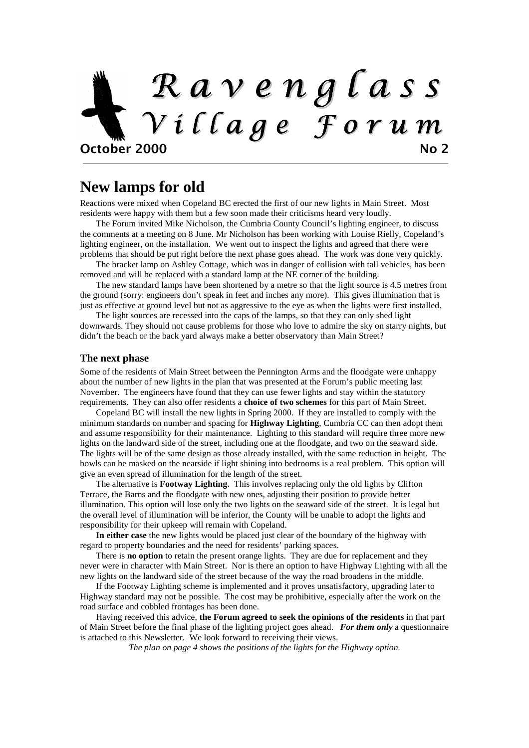# R a v e n g l a s s V i l l a g e F o r u m October 2000 No 2

#### **New lamps for old**

Reactions were mixed when Copeland BC erected the first of our new lights in Main Street. Most residents were happy with them but a few soon made their criticisms heard very loudly.

The Forum invited Mike Nicholson, the Cumbria County Council's lighting engineer, to discuss the comments at a meeting on 8 June. Mr Nicholson has been working with Louise Rielly, Copeland's lighting engineer, on the installation. We went out to inspect the lights and agreed that there were problems that should be put right before the next phase goes ahead. The work was done very quickly.

The bracket lamp on Ashley Cottage, which was in danger of collision with tall vehicles, has been removed and will be replaced with a standard lamp at the NE corner of the building.

The new standard lamps have been shortened by a metre so that the light source is 4.5 metres from the ground (sorry: engineers don't speak in feet and inches any more). This gives illumination that is just as effective at ground level but not as aggressive to the eye as when the lights were first installed.

The light sources are recessed into the caps of the lamps, so that they can only shed light downwards. They should not cause problems for those who love to admire the sky on starry nights, but didn't the beach or the back yard always make a better observatory than Main Street?

#### **The next phase**

Some of the residents of Main Street between the Pennington Arms and the floodgate were unhappy about the number of new lights in the plan that was presented at the Forum's public meeting last November. The engineers have found that they can use fewer lights and stay within the statutory requirements. They can also offer residents a **choice of two schemes** for this part of Main Street.

Copeland BC will install the new lights in Spring 2000. If they are installed to comply with the minimum standards on number and spacing for **Highway Lighting**, Cumbria CC can then adopt them and assume responsibility for their maintenance. Lighting to this standard will require three more new lights on the landward side of the street, including one at the floodgate, and two on the seaward side. The lights will be of the same design as those already installed, with the same reduction in height. The bowls can be masked on the nearside if light shining into bedrooms is a real problem. This option will give an even spread of illumination for the length of the street.

The alternative is **Footway Lighting**. This involves replacing only the old lights by Clifton Terrace, the Barns and the floodgate with new ones, adjusting their position to provide better illumination. This option will lose only the two lights on the seaward side of the street. It is legal but the overall level of illumination will be inferior, the County will be unable to adopt the lights and responsibility for their upkeep will remain with Copeland.

**In either case** the new lights would be placed just clear of the boundary of the highway with regard to property boundaries and the need for residents' parking spaces.

There is **no option** to retain the present orange lights. They are due for replacement and they never were in character with Main Street. Nor is there an option to have Highway Lighting with all the new lights on the landward side of the street because of the way the road broadens in the middle.

If the Footway Lighting scheme is implemented and it proves unsatisfactory, upgrading later to Highway standard may not be possible. The cost may be prohibitive, especially after the work on the road surface and cobbled frontages has been done.

Having received this advice, **the Forum agreed to seek the opinions of the residents** in that part of Main Street before the final phase of the lighting project goes ahead. *For them only* a questionnaire is attached to this Newsletter. We look forward to receiving their views.

*The plan on page 4 shows the positions of the lights for the Highway option.*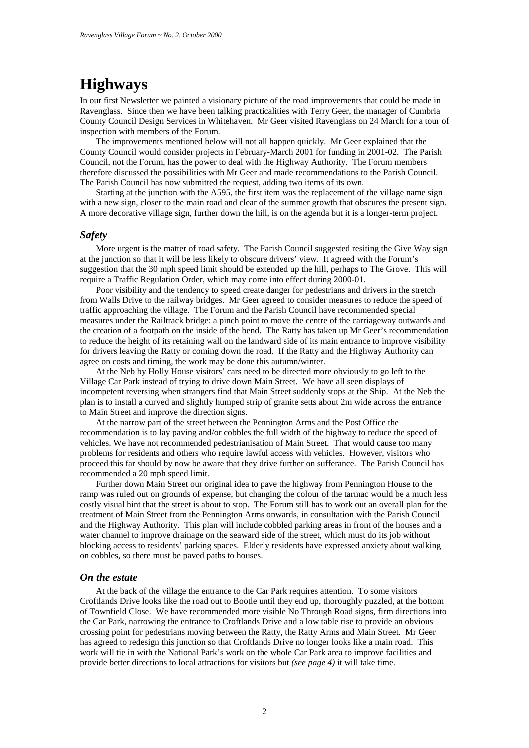### **Highways**

In our first Newsletter we painted a visionary picture of the road improvements that could be made in Ravenglass. Since then we have been talking practicalities with Terry Geer, the manager of Cumbria County Council Design Services in Whitehaven. Mr Geer visited Ravenglass on 24 March for a tour of inspection with members of the Forum.

The improvements mentioned below will not all happen quickly. Mr Geer explained that the County Council would consider projects in February-March 2001 for funding in 2001-02. The Parish Council, not the Forum, has the power to deal with the Highway Authority. The Forum members therefore discussed the possibilities with Mr Geer and made recommendations to the Parish Council. The Parish Council has now submitted the request, adding two items of its own.

Starting at the junction with the A595, the first item was the replacement of the village name sign with a new sign, closer to the main road and clear of the summer growth that obscures the present sign. A more decorative village sign, further down the hill, is on the agenda but it is a longer-term project.

#### *Safety*

More urgent is the matter of road safety. The Parish Council suggested resiting the Give Way sign at the junction so that it will be less likely to obscure drivers' view. It agreed with the Forum's suggestion that the 30 mph speed limit should be extended up the hill, perhaps to The Grove. This will require a Traffic Regulation Order, which may come into effect during 2000-01.

Poor visibility and the tendency to speed create danger for pedestrians and drivers in the stretch from Walls Drive to the railway bridges. Mr Geer agreed to consider measures to reduce the speed of traffic approaching the village. The Forum and the Parish Council have recommended special measures under the Railtrack bridge: a pinch point to move the centre of the carriageway outwards and the creation of a footpath on the inside of the bend. The Ratty has taken up Mr Geer's recommendation to reduce the height of its retaining wall on the landward side of its main entrance to improve visibility for drivers leaving the Ratty or coming down the road. If the Ratty and the Highway Authority can agree on costs and timing, the work may be done this autumn/winter.

At the Neb by Holly House visitors' cars need to be directed more obviously to go left to the Village Car Park instead of trying to drive down Main Street. We have all seen displays of incompetent reversing when strangers find that Main Street suddenly stops at the Ship. At the Neb the plan is to install a curved and slightly humped strip of granite setts about 2m wide across the entrance to Main Street and improve the direction signs.

At the narrow part of the street between the Pennington Arms and the Post Office the recommendation is to lay paving and/or cobbles the full width of the highway to reduce the speed of vehicles. We have not recommended pedestrianisation of Main Street. That would cause too many problems for residents and others who require lawful access with vehicles. However, visitors who proceed this far should by now be aware that they drive further on sufferance. The Parish Council has recommended a 20 mph speed limit.

Further down Main Street our original idea to pave the highway from Pennington House to the ramp was ruled out on grounds of expense, but changing the colour of the tarmac would be a much less costly visual hint that the street is about to stop. The Forum still has to work out an overall plan for the treatment of Main Street from the Pennington Arms onwards, in consultation with the Parish Council and the Highway Authority. This plan will include cobbled parking areas in front of the houses and a water channel to improve drainage on the seaward side of the street, which must do its job without blocking access to residents' parking spaces. Elderly residents have expressed anxiety about walking on cobbles, so there must be paved paths to houses.

#### *On the estate*

At the back of the village the entrance to the Car Park requires attention. To some visitors Croftlands Drive looks like the road out to Bootle until they end up, thoroughly puzzled, at the bottom of Townfield Close. We have recommended more visible No Through Road signs, firm directions into the Car Park, narrowing the entrance to Croftlands Drive and a low table rise to provide an obvious crossing point for pedestrians moving between the Ratty, the Ratty Arms and Main Street. Mr Geer has agreed to redesign this junction so that Croftlands Drive no longer looks like a main road. This work will tie in with the National Park's work on the whole Car Park area to improve facilities and provide better directions to local attractions for visitors but *(see page 4)* it will take time.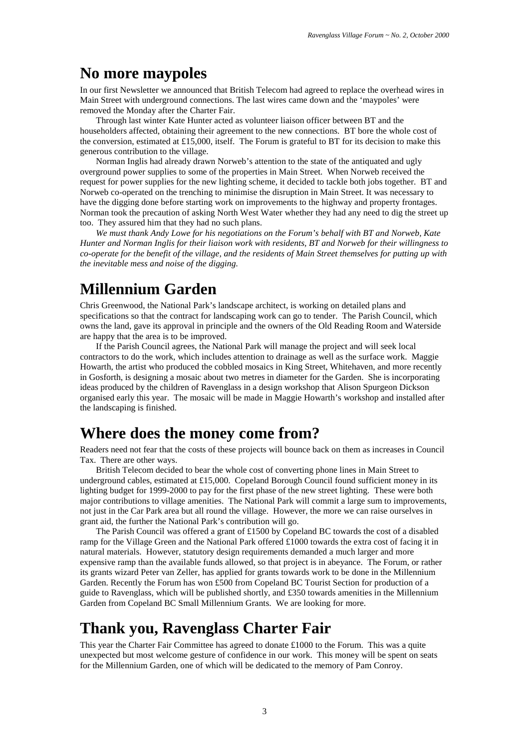### **No more maypoles**

In our first Newsletter we announced that British Telecom had agreed to replace the overhead wires in Main Street with underground connections. The last wires came down and the 'maypoles' were removed the Monday after the Charter Fair.

Through last winter Kate Hunter acted as volunteer liaison officer between BT and the householders affected, obtaining their agreement to the new connections. BT bore the whole cost of the conversion, estimated at £15,000, itself. The Forum is grateful to BT for its decision to make this generous contribution to the village.

Norman Inglis had already drawn Norweb's attention to the state of the antiquated and ugly overground power supplies to some of the properties in Main Street. When Norweb received the request for power supplies for the new lighting scheme, it decided to tackle both jobs together. BT and Norweb co-operated on the trenching to minimise the disruption in Main Street. It was necessary to have the digging done before starting work on improvements to the highway and property frontages. Norman took the precaution of asking North West Water whether they had any need to dig the street up too. They assured him that they had no such plans.

*We must thank Andy Lowe for his negotiations on the Forum's behalf with BT and Norweb, Kate Hunter and Norman Inglis for their liaison work with residents, BT and Norweb for their willingness to co-operate for the benefit of the village, and the residents of Main Street themselves for putting up with the inevitable mess and noise of the digging.* 

### **Millennium Garden**

Chris Greenwood, the National Park's landscape architect, is working on detailed plans and specifications so that the contract for landscaping work can go to tender. The Parish Council, which owns the land, gave its approval in principle and the owners of the Old Reading Room and Waterside are happy that the area is to be improved.

If the Parish Council agrees, the National Park will manage the project and will seek local contractors to do the work, which includes attention to drainage as well as the surface work. Maggie Howarth, the artist who produced the cobbled mosaics in King Street, Whitehaven, and more recently in Gosforth, is designing a mosaic about two metres in diameter for the Garden. She is incorporating ideas produced by the children of Ravenglass in a design workshop that Alison Spurgeon Dickson organised early this year. The mosaic will be made in Maggie Howarth's workshop and installed after the landscaping is finished.

### **Where does the money come from?**

Readers need not fear that the costs of these projects will bounce back on them as increases in Council Tax. There are other ways.

British Telecom decided to bear the whole cost of converting phone lines in Main Street to underground cables, estimated at £15,000. Copeland Borough Council found sufficient money in its lighting budget for 1999-2000 to pay for the first phase of the new street lighting. These were both major contributions to village amenities. The National Park will commit a large sum to improvements, not just in the Car Park area but all round the village. However, the more we can raise ourselves in grant aid, the further the National Park's contribution will go.

The Parish Council was offered a grant of £1500 by Copeland BC towards the cost of a disabled ramp for the Village Green and the National Park offered £1000 towards the extra cost of facing it in natural materials. However, statutory design requirements demanded a much larger and more expensive ramp than the available funds allowed, so that project is in abeyance. The Forum, or rather its grants wizard Peter van Zeller, has applied for grants towards work to be done in the Millennium Garden. Recently the Forum has won £500 from Copeland BC Tourist Section for production of a guide to Ravenglass, which will be published shortly, and £350 towards amenities in the Millennium Garden from Copeland BC Small Millennium Grants. We are looking for more.

### **Thank you, Ravenglass Charter Fair**

This year the Charter Fair Committee has agreed to donate £1000 to the Forum. This was a quite unexpected but most welcome gesture of confidence in our work. This money will be spent on seats for the Millennium Garden, one of which will be dedicated to the memory of Pam Conroy.